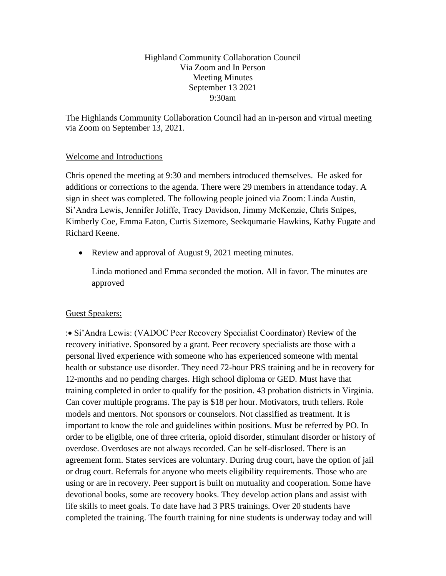# Highland Community Collaboration Council Via Zoom and In Person Meeting Minutes September 13 2021 9:30am

The Highlands Community Collaboration Council had an in-person and virtual meeting via Zoom on September 13, 2021.

# Welcome and Introductions

Chris opened the meeting at 9:30 and members introduced themselves. He asked for additions or corrections to the agenda. There were 29 members in attendance today. A sign in sheet was completed. The following people joined via Zoom: Linda Austin, Si'Andra Lewis, Jennifer Joliffe, Tracy Davidson, Jimmy McKenzie, Chris Snipes, Kimberly Coe, Emma Eaton, Curtis Sizemore, Seekqumarie Hawkins, Kathy Fugate and Richard Keene.

• Review and approval of August 9, 2021 meeting minutes.

Linda motioned and Emma seconded the motion. All in favor. The minutes are approved

# Guest Speakers:

:• Si'Andra Lewis: (VADOC Peer Recovery Specialist Coordinator) Review of the recovery initiative. Sponsored by a grant. Peer recovery specialists are those with a personal lived experience with someone who has experienced someone with mental health or substance use disorder. They need 72-hour PRS training and be in recovery for 12-months and no pending charges. High school diploma or GED. Must have that training completed in order to qualify for the position. 43 probation districts in Virginia. Can cover multiple programs. The pay is \$18 per hour. Motivators, truth tellers. Role models and mentors. Not sponsors or counselors. Not classified as treatment. It is important to know the role and guidelines within positions. Must be referred by PO. In order to be eligible, one of three criteria, opioid disorder, stimulant disorder or history of overdose. Overdoses are not always recorded. Can be self-disclosed. There is an agreement form. States services are voluntary. During drug court, have the option of jail or drug court. Referrals for anyone who meets eligibility requirements. Those who are using or are in recovery. Peer support is built on mutuality and cooperation. Some have devotional books, some are recovery books. They develop action plans and assist with life skills to meet goals. To date have had 3 PRS trainings. Over 20 students have completed the training. The fourth training for nine students is underway today and will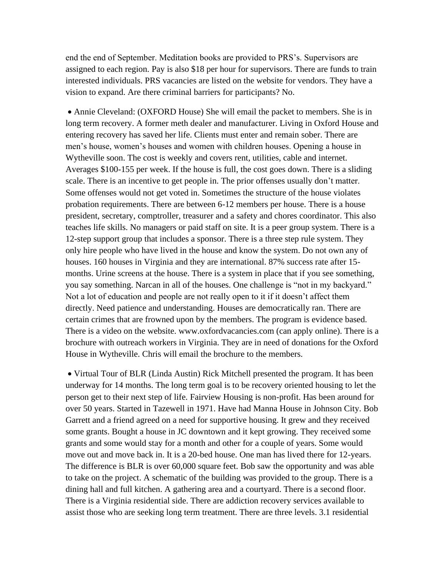end the end of September. Meditation books are provided to PRS's. Supervisors are assigned to each region. Pay is also \$18 per hour for supervisors. There are funds to train interested individuals. PRS vacancies are listed on the website for vendors. They have a vision to expand. Are there criminal barriers for participants? No.

• Annie Cleveland: (OXFORD House) She will email the packet to members. She is in long term recovery. A former meth dealer and manufacturer. Living in Oxford House and entering recovery has saved her life. Clients must enter and remain sober. There are men's house, women's houses and women with children houses. Opening a house in Wytheville soon. The cost is weekly and covers rent, utilities, cable and internet. Averages \$100-155 per week. If the house is full, the cost goes down. There is a sliding scale. There is an incentive to get people in. The prior offenses usually don't matter. Some offenses would not get voted in. Sometimes the structure of the house violates probation requirements. There are between 6-12 members per house. There is a house president, secretary, comptroller, treasurer and a safety and chores coordinator. This also teaches life skills. No managers or paid staff on site. It is a peer group system. There is a 12-step support group that includes a sponsor. There is a three step rule system. They only hire people who have lived in the house and know the system. Do not own any of houses. 160 houses in Virginia and they are international. 87% success rate after 15 months. Urine screens at the house. There is a system in place that if you see something, you say something. Narcan in all of the houses. One challenge is "not in my backyard." Not a lot of education and people are not really open to it if it doesn't affect them directly. Need patience and understanding. Houses are democratically ran. There are certain crimes that are frowned upon by the members. The program is evidence based. There is a video on the website. www.oxfordvacancies.com (can apply online). There is a brochure with outreach workers in Virginia. They are in need of donations for the Oxford House in Wytheville. Chris will email the brochure to the members.

• Virtual Tour of BLR (Linda Austin) Rick Mitchell presented the program. It has been underway for 14 months. The long term goal is to be recovery oriented housing to let the person get to their next step of life. Fairview Housing is non-profit. Has been around for over 50 years. Started in Tazewell in 1971. Have had Manna House in Johnson City. Bob Garrett and a friend agreed on a need for supportive housing. It grew and they received some grants. Bought a house in JC downtown and it kept growing. They received some grants and some would stay for a month and other for a couple of years. Some would move out and move back in. It is a 20-bed house. One man has lived there for 12-years. The difference is BLR is over 60,000 square feet. Bob saw the opportunity and was able to take on the project. A schematic of the building was provided to the group. There is a dining hall and full kitchen. A gathering area and a courtyard. There is a second floor. There is a Virginia residential side. There are addiction recovery services available to assist those who are seeking long term treatment. There are three levels. 3.1 residential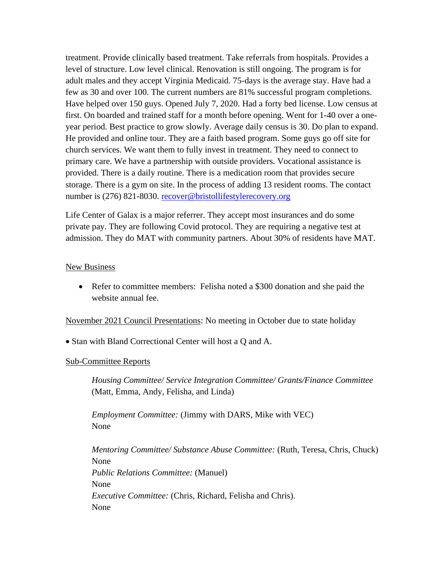treatment. Provide clinically based treatment. Take referrals from hospitals. Provides a level of structure. Low level clinical. Renovation is still ongoing. The program is for adult males and they accept Virginia Medicaid. 75-days is the average stay. Have had a few as 30 and over 100. The current numbers are 81% successful program completions. Have helped over 150 guys. Opened July 7, 2020. Had a forty bed license. Low census at first. On boarded and trained staff for a month before opening. Went for 1-40 over a oneyear period. Best practice to grow slowly. Average daily census is 30. Do plan to expand. He provided and online tour. They are a faith based program. Some guys go off site for church services. We want them to fully invest in treatment. They need to connect to primary care. We have a partnership with outside providers. Vocational assistance is provided. There is a daily routine. There is a medication room that provides secure storage. There is a gym on site. In the process of adding 13 resident rooms. The contact number is (276) 821-8030. [recover@bristollifestylerecovery.org](mailto:recover@bristollifestylerecovery.org)

Life Center of Galax is a major referrer. They accept most insurances and do some private pay. They are following Covid protocol. They are requiring a negative test at admission. They do MAT with community partners. About 30% of residents have MAT.

### New Business

• Refer to committee members: Felisha noted a \$300 donation and she paid the website annual fee.

November 2021 Council Presentations: No meeting in October due to state holiday

• Stan with Bland Correctional Center will host a Q and A.

#### Sub-Committee Reports

*Housing Committee/ Service Integration Committee/ Grants/Finance Committee* (Matt, Emma, Andy, Felisha, and Linda)

*Employment Committee:* (Jimmy with DARS, Mike with VEC) None

*Mentoring Committee/ Substance Abuse Committee:* (Ruth, Teresa, Chris, Chuck) None *Public Relations Committee:* (Manuel) None *Executive Committee:* (Chris, Richard, Felisha and Chris). None